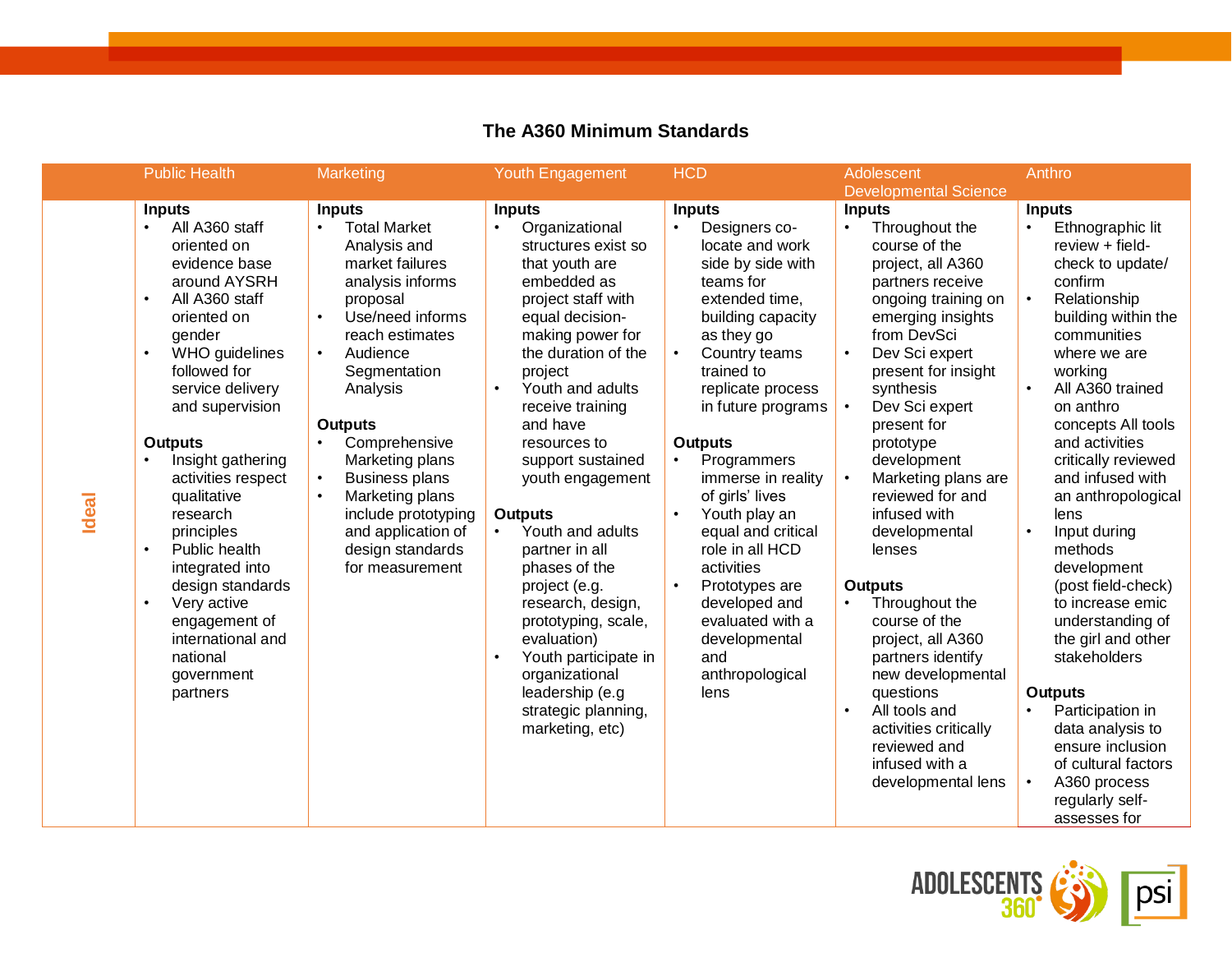|       | <b>Public Health</b>                                                                                                                                                                                                                                                                                                                                                                                                                                                                                                          | Marketing                                                                                                                                                                                                                                                                                                                                                                                                           | Youth Engagement                                                                                                                                                                                                                                                                                                                                                                                                                                                                                                                                                                                                    | <b>HCD</b>                                                                                                                                                                                                                                                                                                                                                                                                                                                                                                                                      | Adolescent<br><b>Developmental Science</b>                                                                                                                                                                                                                                                                                                                                                                                                                                                                                                                                                                                                           | Anthro                                                                                                                                                                                                                                                                                                                                                                                                                                                                                                                                                                                                                                                                                        |
|-------|-------------------------------------------------------------------------------------------------------------------------------------------------------------------------------------------------------------------------------------------------------------------------------------------------------------------------------------------------------------------------------------------------------------------------------------------------------------------------------------------------------------------------------|---------------------------------------------------------------------------------------------------------------------------------------------------------------------------------------------------------------------------------------------------------------------------------------------------------------------------------------------------------------------------------------------------------------------|---------------------------------------------------------------------------------------------------------------------------------------------------------------------------------------------------------------------------------------------------------------------------------------------------------------------------------------------------------------------------------------------------------------------------------------------------------------------------------------------------------------------------------------------------------------------------------------------------------------------|-------------------------------------------------------------------------------------------------------------------------------------------------------------------------------------------------------------------------------------------------------------------------------------------------------------------------------------------------------------------------------------------------------------------------------------------------------------------------------------------------------------------------------------------------|------------------------------------------------------------------------------------------------------------------------------------------------------------------------------------------------------------------------------------------------------------------------------------------------------------------------------------------------------------------------------------------------------------------------------------------------------------------------------------------------------------------------------------------------------------------------------------------------------------------------------------------------------|-----------------------------------------------------------------------------------------------------------------------------------------------------------------------------------------------------------------------------------------------------------------------------------------------------------------------------------------------------------------------------------------------------------------------------------------------------------------------------------------------------------------------------------------------------------------------------------------------------------------------------------------------------------------------------------------------|
| Ideal | <b>Inputs</b><br>All A360 staff<br>$\bullet$<br>oriented on<br>evidence base<br>around AYSRH<br>All A360 staff<br>$\bullet$<br>oriented on<br>gender<br>WHO guidelines<br>$\bullet$<br>followed for<br>service delivery<br>and supervision<br><b>Outputs</b><br>Insight gathering<br>activities respect<br>qualitative<br>research<br>principles<br>Public health<br>$\bullet$<br>integrated into<br>design standards<br>Very active<br>$\bullet$<br>engagement of<br>international and<br>national<br>government<br>partners | <b>Inputs</b><br><b>Total Market</b><br>$\bullet$<br>Analysis and<br>market failures<br>analysis informs<br>proposal<br>Use/need informs<br>$\bullet$<br>reach estimates<br>Audience<br>$\bullet$<br>Segmentation<br>Analysis<br><b>Outputs</b><br>Comprehensive<br>Marketing plans<br><b>Business plans</b><br>Marketing plans<br>include prototyping<br>and application of<br>design standards<br>for measurement | <b>Inputs</b><br>Organizational<br>$\bullet$<br>structures exist so<br>that youth are<br>embedded as<br>project staff with<br>equal decision-<br>making power for<br>the duration of the<br>project<br>Youth and adults<br>$\bullet$<br>receive training<br>and have<br>resources to<br>support sustained<br>youth engagement<br><b>Outputs</b><br>Youth and adults<br>$\bullet$<br>partner in all<br>phases of the<br>project (e.g.<br>research, design,<br>prototyping, scale,<br>evaluation)<br>Youth participate in<br>$\bullet$<br>organizational<br>leadership (e.g<br>strategic planning,<br>marketing, etc) | <b>Inputs</b><br>Designers co-<br>$\bullet$<br>locate and work<br>side by side with<br>teams for<br>extended time,<br>building capacity<br>as they go<br>Country teams<br>$\bullet$<br>trained to<br>replicate process<br>in future programs<br><b>Outputs</b><br>Programmers<br>$\bullet$<br>immerse in reality<br>of girls' lives<br>Youth play an<br>$\bullet$<br>equal and critical<br>role in all HCD<br>activities<br>Prototypes are<br>$\bullet$<br>developed and<br>evaluated with a<br>developmental<br>and<br>anthropological<br>lens | <b>Inputs</b><br>Throughout the<br>$\bullet$<br>course of the<br>project, all A360<br>partners receive<br>ongoing training on<br>emerging insights<br>from DevSci<br>Dev Sci expert<br>$\bullet$<br>present for insight<br>synthesis<br>Dev Sci expert<br>present for<br>prototype<br>development<br>Marketing plans are<br>reviewed for and<br>infused with<br>developmental<br>lenses<br><b>Outputs</b><br>Throughout the<br>$\bullet$<br>course of the<br>project, all A360<br>partners identify<br>new developmental<br>questions<br>All tools and<br>$\bullet$<br>activities critically<br>reviewed and<br>infused with a<br>developmental lens | <b>Inputs</b><br>Ethnographic lit<br>$\bullet$<br>review + field-<br>check to update/<br>confirm<br>Relationship<br>$\bullet$<br>building within the<br>communities<br>where we are<br>working<br>All A360 trained<br>$\bullet$<br>on anthro<br>concepts All tools<br>and activities<br>critically reviewed<br>and infused with<br>an anthropological<br>lens<br>Input during<br>$\bullet$<br>methods<br>development<br>(post field-check)<br>to increase emic<br>understanding of<br>the girl and other<br>stakeholders<br><b>Outputs</b><br>Participation in<br>$\bullet$<br>data analysis to<br>ensure inclusion<br>of cultural factors<br>A360 process<br>regularly self-<br>assesses for |

## **The A360 Minimum Standards**

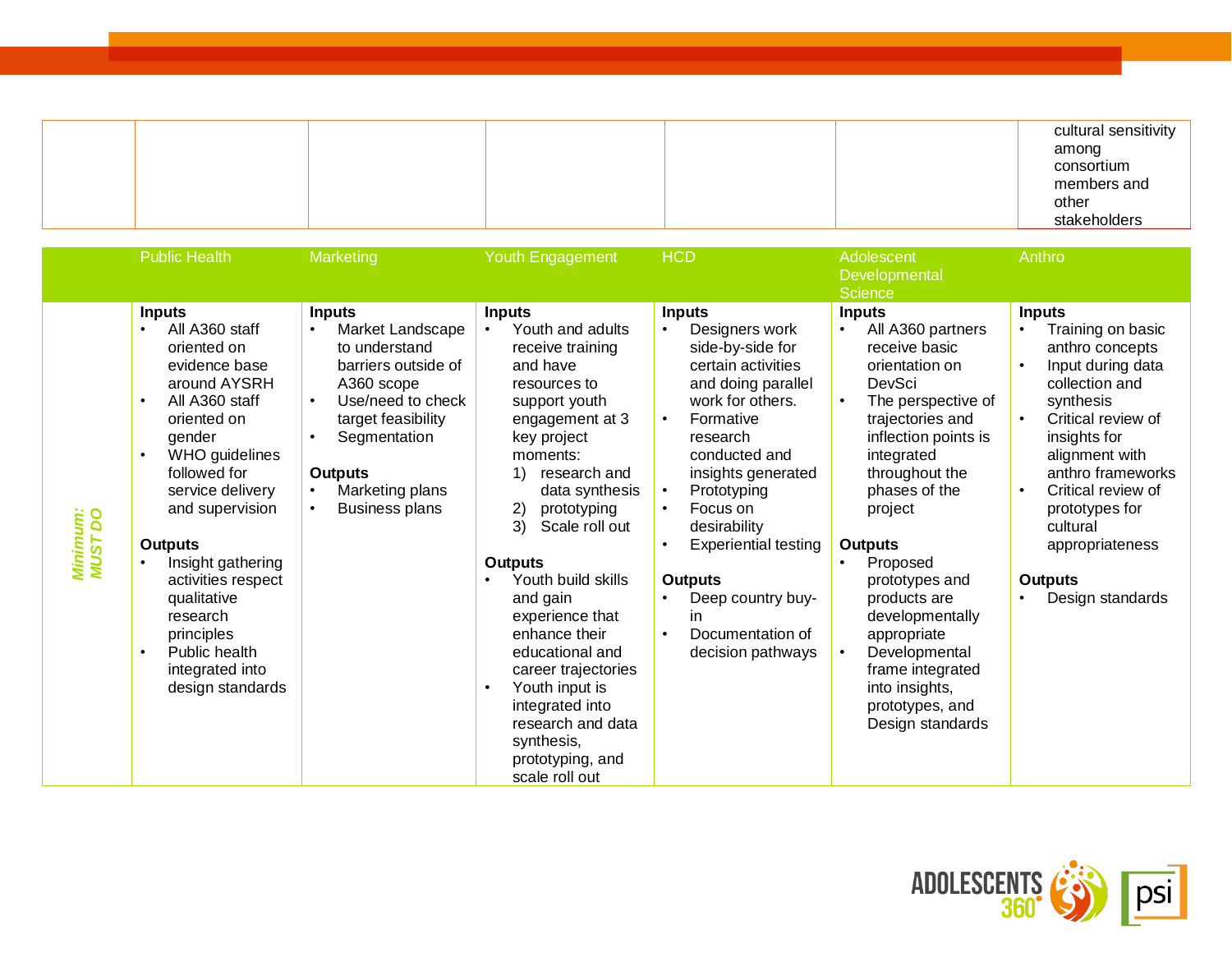|  |  |  | cultural sensitivity |
|--|--|--|----------------------|
|  |  |  | among                |
|  |  |  | consortium           |
|  |  |  | members and          |
|  |  |  | other                |
|  |  |  | stakeholders         |

|                     | <b>Public Health</b>                                                                                                                                                                                                                                                                                                                                                                                                  | Marketing                                                                                                                                                                                                                                                            | Youth Engagement                                                                                                                                                                                                                                                                                                                                                                                                                                                                             | <b>HCD</b>                                                                                                                                                                                                                                                                                                                                                                                                                 | Adolescent                                                                                                                                                                                                                                                                                                                                                                                                                 | Anthro                                                                                                                                                                                                                                                                                                                 |
|---------------------|-----------------------------------------------------------------------------------------------------------------------------------------------------------------------------------------------------------------------------------------------------------------------------------------------------------------------------------------------------------------------------------------------------------------------|----------------------------------------------------------------------------------------------------------------------------------------------------------------------------------------------------------------------------------------------------------------------|----------------------------------------------------------------------------------------------------------------------------------------------------------------------------------------------------------------------------------------------------------------------------------------------------------------------------------------------------------------------------------------------------------------------------------------------------------------------------------------------|----------------------------------------------------------------------------------------------------------------------------------------------------------------------------------------------------------------------------------------------------------------------------------------------------------------------------------------------------------------------------------------------------------------------------|----------------------------------------------------------------------------------------------------------------------------------------------------------------------------------------------------------------------------------------------------------------------------------------------------------------------------------------------------------------------------------------------------------------------------|------------------------------------------------------------------------------------------------------------------------------------------------------------------------------------------------------------------------------------------------------------------------------------------------------------------------|
|                     |                                                                                                                                                                                                                                                                                                                                                                                                                       |                                                                                                                                                                                                                                                                      |                                                                                                                                                                                                                                                                                                                                                                                                                                                                                              |                                                                                                                                                                                                                                                                                                                                                                                                                            | Developmental<br><b>Science</b>                                                                                                                                                                                                                                                                                                                                                                                            |                                                                                                                                                                                                                                                                                                                        |
| Minimum:<br>MUST DO | <b>Inputs</b><br>All A360 staff<br>$\bullet$<br>oriented on<br>evidence base<br>around AYSRH<br>All A360 staff<br>$\bullet$<br>oriented on<br>gender<br>WHO guidelines<br>$\bullet$<br>followed for<br>service delivery<br>and supervision<br><b>Outputs</b><br>Insight gathering<br>activities respect<br>qualitative<br>research<br>principles<br>Public health<br>$\bullet$<br>integrated into<br>design standards | <b>Inputs</b><br>Market Landscape<br>$\bullet$<br>to understand<br>barriers outside of<br>A360 scope<br>Use/need to check<br>$\bullet$<br>target feasibility<br>Segmentation<br>$\bullet$<br><b>Outputs</b><br>Marketing plans<br>$\bullet$<br><b>Business plans</b> | <b>Inputs</b><br>Youth and adults<br>receive training<br>and have<br>resources to<br>support youth<br>engagement at 3<br>key project<br>moments:<br>research and<br>data synthesis<br>2)<br>prototyping<br>3)<br>Scale roll out<br><b>Outputs</b><br>Youth build skills<br>and gain<br>experience that<br>enhance their<br>educational and<br>career trajectories<br>Youth input is<br>$\bullet$<br>integrated into<br>research and data<br>synthesis,<br>prototyping, and<br>scale roll out | <b>Inputs</b><br>Designers work<br>$\bullet$<br>side-by-side for<br>certain activities<br>and doing parallel<br>work for others.<br>Formative<br>$\bullet$<br>research<br>conducted and<br>insights generated<br>Prototyping<br>$\bullet$<br>Focus on<br>$\bullet$<br>desirability<br>Experiential testing<br>$\bullet$<br><b>Outputs</b><br>Deep country buy-<br>in<br>Documentation of<br>$\bullet$<br>decision pathways | <b>Inputs</b><br>All A360 partners<br>$\bullet$<br>receive basic<br>orientation on<br>DevSci<br>The perspective of<br>trajectories and<br>inflection points is<br>integrated<br>throughout the<br>phases of the<br>project<br><b>Outputs</b><br>Proposed<br>prototypes and<br>products are<br>developmentally<br>appropriate<br>Developmental<br>frame integrated<br>into insights,<br>prototypes, and<br>Design standards | <b>Inputs</b><br>Training on basic<br>$\bullet$<br>anthro concepts<br>Input during data<br>collection and<br>synthesis<br>Critical review of<br>insights for<br>alignment with<br>anthro frameworks<br>Critical review of<br>$\bullet$<br>prototypes for<br>cultural<br>appropriateness<br>Outputs<br>Design standards |